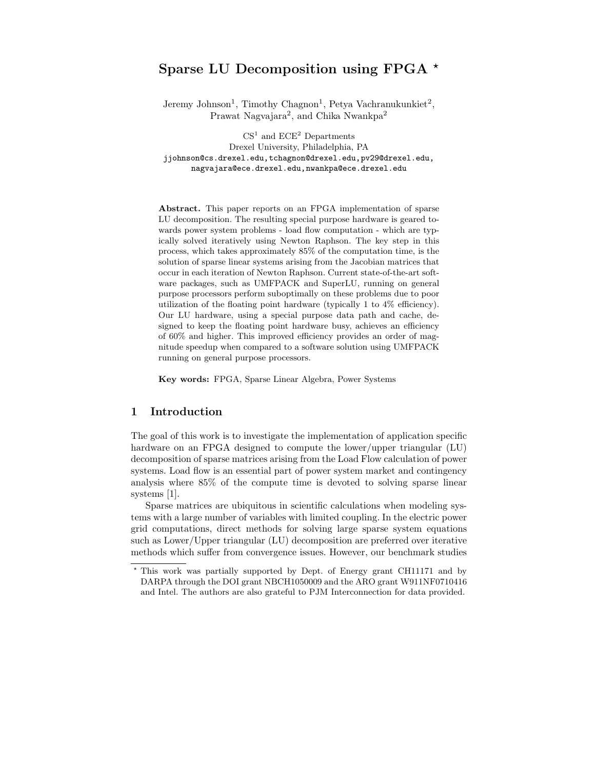# Sparse LU Decomposition using FPGA  $^{\star}$

Jeremy Johnson<sup>1</sup>, Timothy Chagnon<sup>1</sup>, Petya Vachranukunkiet<sup>2</sup>, Prawat Nagvajara<sup>2</sup>, and Chika Nwankpa<sup>2</sup>

 $\mathrm{CS}^1$  and  $\mathrm{ECE}^2$  Departments Drexel University, Philadelphia, PA jjohnson@cs.drexel.edu,tchagnon@drexel.edu,pv29@drexel.edu, nagvajara@ece.drexel.edu,nwankpa@ece.drexel.edu

Abstract. This paper reports on an FPGA implementation of sparse LU decomposition. The resulting special purpose hardware is geared towards power system problems - load flow computation - which are typically solved iteratively using Newton Raphson. The key step in this process, which takes approximately 85% of the computation time, is the solution of sparse linear systems arising from the Jacobian matrices that occur in each iteration of Newton Raphson. Current state-of-the-art software packages, such as UMFPACK and SuperLU, running on general purpose processors perform suboptimally on these problems due to poor utilization of the floating point hardware (typically 1 to 4% efficiency). Our LU hardware, using a special purpose data path and cache, designed to keep the floating point hardware busy, achieves an efficiency of 60% and higher. This improved efficiency provides an order of magnitude speedup when compared to a software solution using UMFPACK running on general purpose processors.

Key words: FPGA, Sparse Linear Algebra, Power Systems

## 1 Introduction

The goal of this work is to investigate the implementation of application specific hardware on an FPGA designed to compute the lower/upper triangular (LU) decomposition of sparse matrices arising from the Load Flow calculation of power systems. Load flow is an essential part of power system market and contingency analysis where 85% of the compute time is devoted to solving sparse linear systems [1].

Sparse matrices are ubiquitous in scientific calculations when modeling systems with a large number of variables with limited coupling. In the electric power grid computations, direct methods for solving large sparse system equations such as Lower/Upper triangular (LU) decomposition are preferred over iterative methods which suffer from convergence issues. However, our benchmark studies

<sup>⋆</sup> This work was partially supported by Dept. of Energy grant CH11171 and by DARPA through the DOI grant NBCH1050009 and the ARO grant W911NF0710416 and Intel. The authors are also grateful to PJM Interconnection for data provided.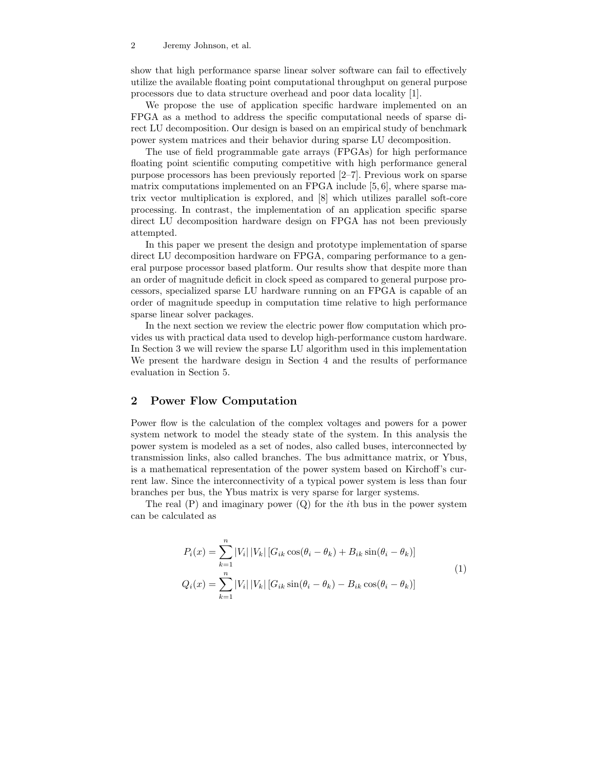show that high performance sparse linear solver software can fail to effectively utilize the available floating point computational throughput on general purpose processors due to data structure overhead and poor data locality [1].

We propose the use of application specific hardware implemented on an FPGA as a method to address the specific computational needs of sparse direct LU decomposition. Our design is based on an empirical study of benchmark power system matrices and their behavior during sparse LU decomposition.

The use of field programmable gate arrays (FPGAs) for high performance floating point scientific computing competitive with high performance general purpose processors has been previously reported [2–7]. Previous work on sparse matrix computations implemented on an FPGA include  $[5, 6]$ , where sparse matrix vector multiplication is explored, and [8] which utilizes parallel soft-core processing. In contrast, the implementation of an application specific sparse direct LU decomposition hardware design on FPGA has not been previously attempted.

In this paper we present the design and prototype implementation of sparse direct LU decomposition hardware on FPGA, comparing performance to a general purpose processor based platform. Our results show that despite more than an order of magnitude deficit in clock speed as compared to general purpose processors, specialized sparse LU hardware running on an FPGA is capable of an order of magnitude speedup in computation time relative to high performance sparse linear solver packages.

In the next section we review the electric power flow computation which provides us with practical data used to develop high-performance custom hardware. In Section 3 we will review the sparse LU algorithm used in this implementation We present the hardware design in Section 4 and the results of performance evaluation in Section 5.

## 2 Power Flow Computation

Power flow is the calculation of the complex voltages and powers for a power system network to model the steady state of the system. In this analysis the power system is modeled as a set of nodes, also called buses, interconnected by transmission links, also called branches. The bus admittance matrix, or Ybus, is a mathematical representation of the power system based on Kirchoff's current law. Since the interconnectivity of a typical power system is less than four branches per bus, the Ybus matrix is very sparse for larger systems.

The real  $(P)$  and imaginary power  $(Q)$  for the *i*th bus in the power system can be calculated as

$$
P_i(x) = \sum_{k=1}^{n} |V_i| |V_k| [G_{ik} \cos(\theta_i - \theta_k) + B_{ik} \sin(\theta_i - \theta_k)]
$$
  
\n
$$
Q_i(x) = \sum_{k=1}^{n} |V_i| |V_k| [G_{ik} \sin(\theta_i - \theta_k) - B_{ik} \cos(\theta_i - \theta_k)]
$$
\n(1)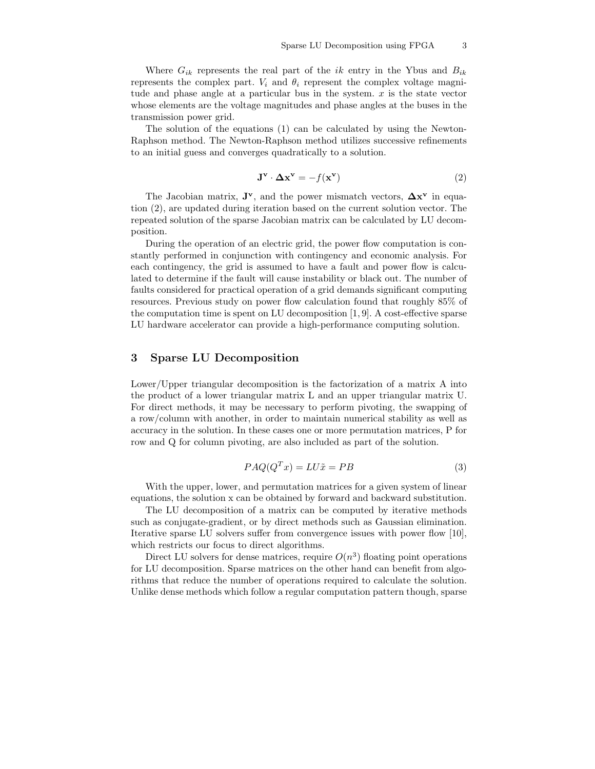Where  $G_{ik}$  represents the real part of the ik entry in the Ybus and  $B_{ik}$ represents the complex part.  $V_i$  and  $\theta_i$  represent the complex voltage magnitude and phase angle at a particular bus in the system.  $x$  is the state vector whose elements are the voltage magnitudes and phase angles at the buses in the transmission power grid.

The solution of the equations (1) can be calculated by using the Newton-Raphson method. The Newton-Raphson method utilizes successive refinements to an initial guess and converges quadratically to a solution.

$$
\mathbf{J}^{\mathbf{v}} \cdot \mathbf{\Delta} \mathbf{x}^{\mathbf{v}} = -f(\mathbf{x}^{\mathbf{v}})
$$
 (2)

The Jacobian matrix,  $J^{\mathbf{v}}$ , and the power mismatch vectors,  $\Delta \mathbf{x}^{\mathbf{v}}$  in equation (2), are updated during iteration based on the current solution vector. The repeated solution of the sparse Jacobian matrix can be calculated by LU decomposition.

During the operation of an electric grid, the power flow computation is constantly performed in conjunction with contingency and economic analysis. For each contingency, the grid is assumed to have a fault and power flow is calculated to determine if the fault will cause instability or black out. The number of faults considered for practical operation of a grid demands significant computing resources. Previous study on power flow calculation found that roughly 85% of the computation time is spent on LU decomposition  $[1, 9]$ . A cost-effective sparse LU hardware accelerator can provide a high-performance computing solution.

# 3 Sparse LU Decomposition

Lower/Upper triangular decomposition is the factorization of a matrix A into the product of a lower triangular matrix L and an upper triangular matrix U. For direct methods, it may be necessary to perform pivoting, the swapping of a row/column with another, in order to maintain numerical stability as well as accuracy in the solution. In these cases one or more permutation matrices, P for row and Q for column pivoting, are also included as part of the solution.

$$
PAQ(QTx) = LU\tilde{x} = PB
$$
\n(3)

With the upper, lower, and permutation matrices for a given system of linear equations, the solution x can be obtained by forward and backward substitution.

The LU decomposition of a matrix can be computed by iterative methods such as conjugate-gradient, or by direct methods such as Gaussian elimination. Iterative sparse LU solvers suffer from convergence issues with power flow [10], which restricts our focus to direct algorithms.

Direct LU solvers for dense matrices, require  $O(n^3)$  floating point operations for LU decomposition. Sparse matrices on the other hand can benefit from algorithms that reduce the number of operations required to calculate the solution. Unlike dense methods which follow a regular computation pattern though, sparse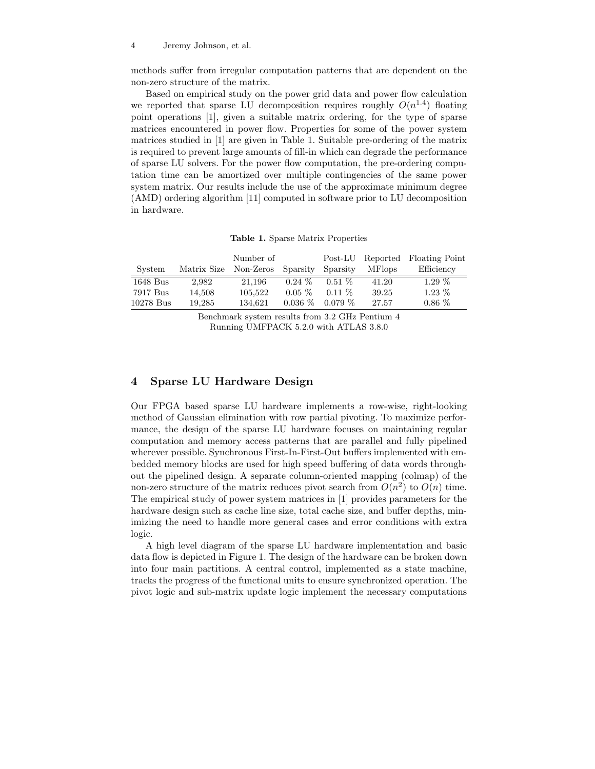methods suffer from irregular computation patterns that are dependent on the non-zero structure of the matrix.

Based on empirical study on the power grid data and power flow calculation we reported that sparse LU decomposition requires roughly  $O(n^{1.4})$  floating point operations [1], given a suitable matrix ordering, for the type of sparse matrices encountered in power flow. Properties for some of the power system matrices studied in [1] are given in Table 1. Suitable pre-ordering of the matrix is required to prevent large amounts of fill-in which can degrade the performance of sparse LU solvers. For the power flow computation, the pre-ordering computation time can be amortized over multiple contingencies of the same power system matrix. Our results include the use of the approximate minimum degree (AMD) ordering algorithm [11] computed in software prior to LU decomposition in hardware.

|  |  |  |  | <b>Table 1.</b> Sparse Matrix Properties |
|--|--|--|--|------------------------------------------|
|--|--|--|--|------------------------------------------|

|            |                       | Number of |           |           |                | Post-LU Reported Floating Point |
|------------|-----------------------|-----------|-----------|-----------|----------------|---------------------------------|
| System     | Matrix Size Non-Zeros |           | Sparsity  | Sparsity  | <b>MF</b> lops | Efficiency                      |
| $1648$ Bus | 2,982                 | 21.196    | $0.24\%$  | $0.51\%$  | 41.20          | $1.29\%$                        |
| 7917 Bus   | 14,508                | 105,522   | $0.05\%$  | $0.11\%$  | 39.25          | $1.23\%$                        |
| 10278 Bus  | 19.285                | 134.621   | $0.036\%$ | $0.079\%$ | 27.57          | $0.86\%$                        |

Benchmark system results from 3.2 GHz Pentium 4 Running UMFPACK 5.2.0 with ATLAS 3.8.0

#### 4 Sparse LU Hardware Design

Our FPGA based sparse LU hardware implements a row-wise, right-looking method of Gaussian elimination with row partial pivoting. To maximize performance, the design of the sparse LU hardware focuses on maintaining regular computation and memory access patterns that are parallel and fully pipelined wherever possible. Synchronous First-In-First-Out buffers implemented with embedded memory blocks are used for high speed buffering of data words throughout the pipelined design. A separate column-oriented mapping (colmap) of the non-zero structure of the matrix reduces pivot search from  $O(n^2)$  to  $O(n)$  time. The empirical study of power system matrices in [1] provides parameters for the hardware design such as cache line size, total cache size, and buffer depths, minimizing the need to handle more general cases and error conditions with extra logic.

A high level diagram of the sparse LU hardware implementation and basic data flow is depicted in Figure 1. The design of the hardware can be broken down into four main partitions. A central control, implemented as a state machine, tracks the progress of the functional units to ensure synchronized operation. The pivot logic and sub-matrix update logic implement the necessary computations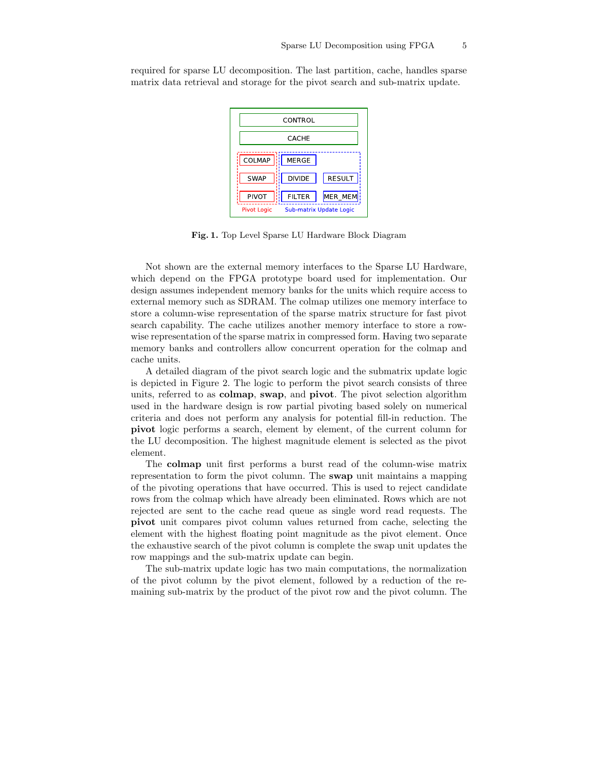required for sparse LU decomposition. The last partition, cache, handles sparse matrix data retrieval and storage for the pivot search and sub-matrix update.



Fig. 1. Top Level Sparse LU Hardware Block Diagram

Not shown are the external memory interfaces to the Sparse LU Hardware, which depend on the FPGA prototype board used for implementation. Our design assumes independent memory banks for the units which require access to external memory such as SDRAM. The colmap utilizes one memory interface to store a column-wise representation of the sparse matrix structure for fast pivot search capability. The cache utilizes another memory interface to store a rowwise representation of the sparse matrix in compressed form. Having two separate memory banks and controllers allow concurrent operation for the colmap and cache units.

A detailed diagram of the pivot search logic and the submatrix update logic is depicted in Figure 2. The logic to perform the pivot search consists of three units, referred to as colmap, swap, and pivot. The pivot selection algorithm used in the hardware design is row partial pivoting based solely on numerical criteria and does not perform any analysis for potential fill-in reduction. The pivot logic performs a search, element by element, of the current column for the LU decomposition. The highest magnitude element is selected as the pivot element.

The colmap unit first performs a burst read of the column-wise matrix representation to form the pivot column. The swap unit maintains a mapping of the pivoting operations that have occurred. This is used to reject candidate rows from the colmap which have already been eliminated. Rows which are not rejected are sent to the cache read queue as single word read requests. The pivot unit compares pivot column values returned from cache, selecting the element with the highest floating point magnitude as the pivot element. Once the exhaustive search of the pivot column is complete the swap unit updates the row mappings and the sub-matrix update can begin.

The sub-matrix update logic has two main computations, the normalization of the pivot column by the pivot element, followed by a reduction of the remaining sub-matrix by the product of the pivot row and the pivot column. The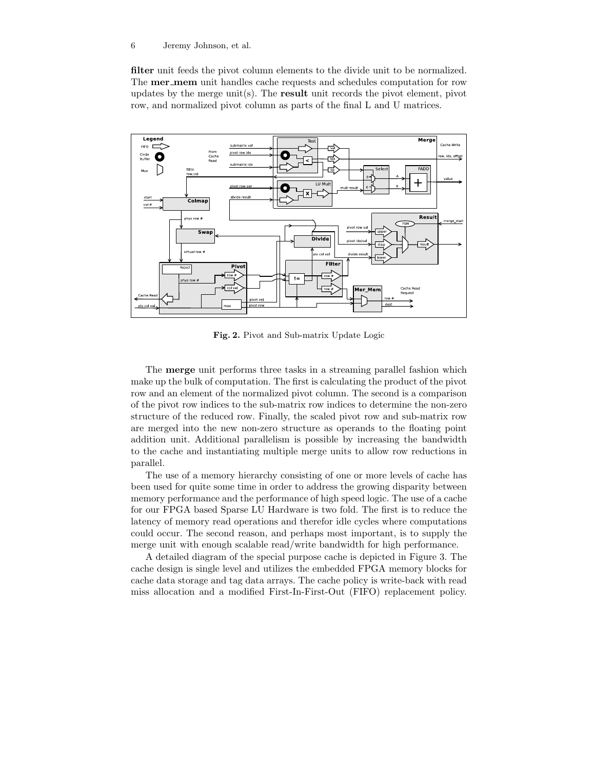filter unit feeds the pivot column elements to the divide unit to be normalized. The **mer\_mem** unit handles cache requests and schedules computation for row updates by the merge unit(s). The **result** unit records the pivot element, pivot row, and normalized pivot column as parts of the final L and U matrices.



Fig. 2. Pivot and Sub-matrix Update Logic

The merge unit performs three tasks in a streaming parallel fashion which make up the bulk of computation. The first is calculating the product of the pivot row and an element of the normalized pivot column. The second is a comparison of the pivot row indices to the sub-matrix row indices to determine the non-zero structure of the reduced row. Finally, the scaled pivot row and sub-matrix row are merged into the new non-zero structure as operands to the floating point addition unit. Additional parallelism is possible by increasing the bandwidth to the cache and instantiating multiple merge units to allow row reductions in parallel.

The use of a memory hierarchy consisting of one or more levels of cache has been used for quite some time in order to address the growing disparity between memory performance and the performance of high speed logic. The use of a cache for our FPGA based Sparse LU Hardware is two fold. The first is to reduce the latency of memory read operations and therefor idle cycles where computations could occur. The second reason, and perhaps most important, is to supply the merge unit with enough scalable read/write bandwidth for high performance.

A detailed diagram of the special purpose cache is depicted in Figure 3. The cache design is single level and utilizes the embedded FPGA memory blocks for cache data storage and tag data arrays. The cache policy is write-back with read miss allocation and a modified First-In-First-Out (FIFO) replacement policy.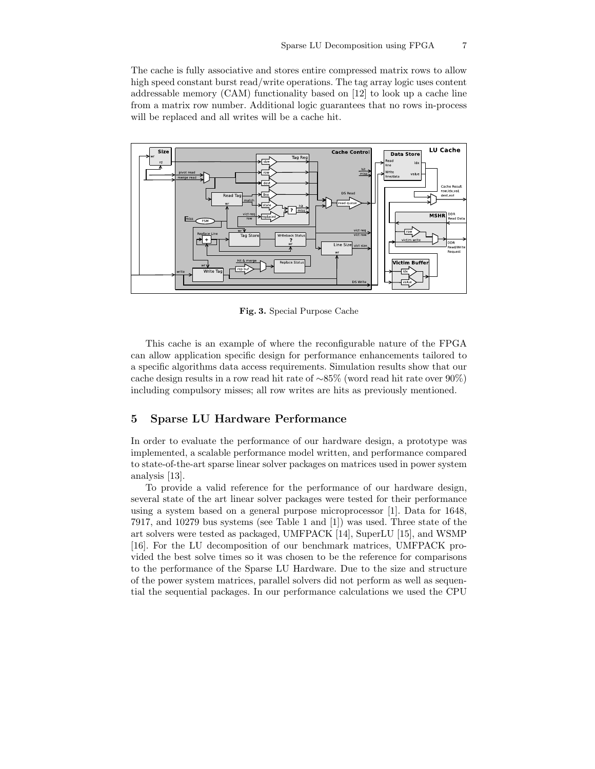The cache is fully associative and stores entire compressed matrix rows to allow high speed constant burst read/write operations. The tag array logic uses content addressable memory (CAM) functionality based on [12] to look up a cache line from a matrix row number. Additional logic guarantees that no rows in-process will be replaced and all writes will be a cache hit.



Fig. 3. Special Purpose Cache

This cache is an example of where the reconfigurable nature of the FPGA can allow application specific design for performance enhancements tailored to a specific algorithms data access requirements. Simulation results show that our cache design results in a row read hit rate of ∼85% (word read hit rate over 90%) including compulsory misses; all row writes are hits as previously mentioned.

#### 5 Sparse LU Hardware Performance

In order to evaluate the performance of our hardware design, a prototype was implemented, a scalable performance model written, and performance compared to state-of-the-art sparse linear solver packages on matrices used in power system analysis [13].

To provide a valid reference for the performance of our hardware design, several state of the art linear solver packages were tested for their performance using a system based on a general purpose microprocessor [1]. Data for 1648, 7917, and 10279 bus systems (see Table 1 and [1]) was used. Three state of the art solvers were tested as packaged, UMFPACK [14], SuperLU [15], and WSMP [16]. For the LU decomposition of our benchmark matrices, UMFPACK provided the best solve times so it was chosen to be the reference for comparisons to the performance of the Sparse LU Hardware. Due to the size and structure of the power system matrices, parallel solvers did not perform as well as sequential the sequential packages. In our performance calculations we used the CPU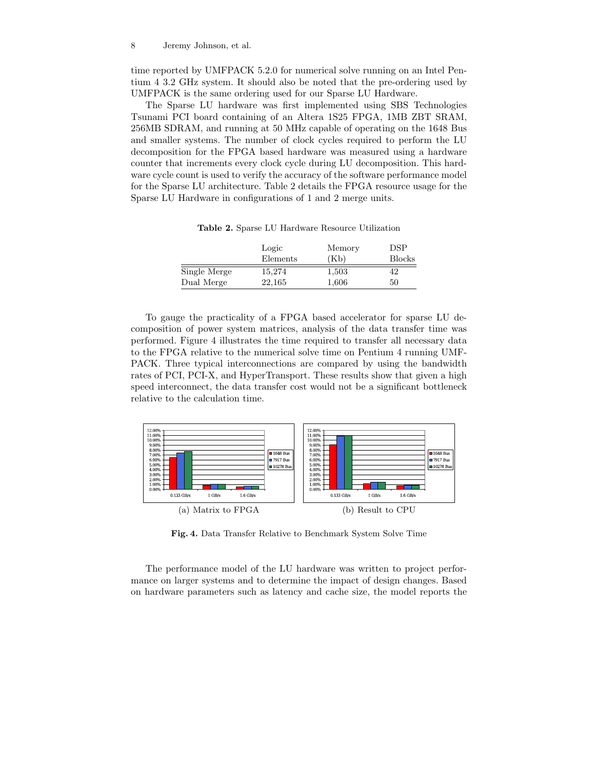time reported by UMFPACK 5.2.0 for numerical solve running on an Intel Pentium 4 3.2 GHz system. It should also be noted that the pre-ordering used by UMFPACK is the same ordering used for our Sparse LU Hardware.

The Sparse LU hardware was first implemented using SBS Technologies Tsunami PCI board containing of an Altera 1S25 FPGA, 1MB ZBT SRAM, 256MB SDRAM, and running at 50 MHz capable of operating on the 1648 Bus and smaller systems. The number of clock cycles required to perform the LU decomposition for the FPGA based hardware was measured using a hardware counter that increments every clock cycle during LU decomposition. This hardware cycle count is used to verify the accuracy of the software performance model for the Sparse LU architecture. Table 2 details the FPGA resource usage for the Sparse LU Hardware in configurations of 1 and 2 merge units.

Logic Memory DSP Elements (Kb) Blocks Single Merge 15,274 1,503 42 Dual Merge 22,165 1,606 50

Table 2. Sparse LU Hardware Resource Utilization

To gauge the practicality of a FPGA based accelerator for sparse LU decomposition of power system matrices, analysis of the data transfer time was performed. Figure 4 illustrates the time required to transfer all necessary data to the FPGA relative to the numerical solve time on Pentium 4 running UMF-PACK. Three typical interconnections are compared by using the bandwidth rates of PCI, PCI-X, and HyperTransport. These results show that given a high speed interconnect, the data transfer cost would not be a significant bottleneck relative to the calculation time.



Fig. 4. Data Transfer Relative to Benchmark System Solve Time

The performance model of the LU hardware was written to project performance on larger systems and to determine the impact of design changes. Based on hardware parameters such as latency and cache size, the model reports the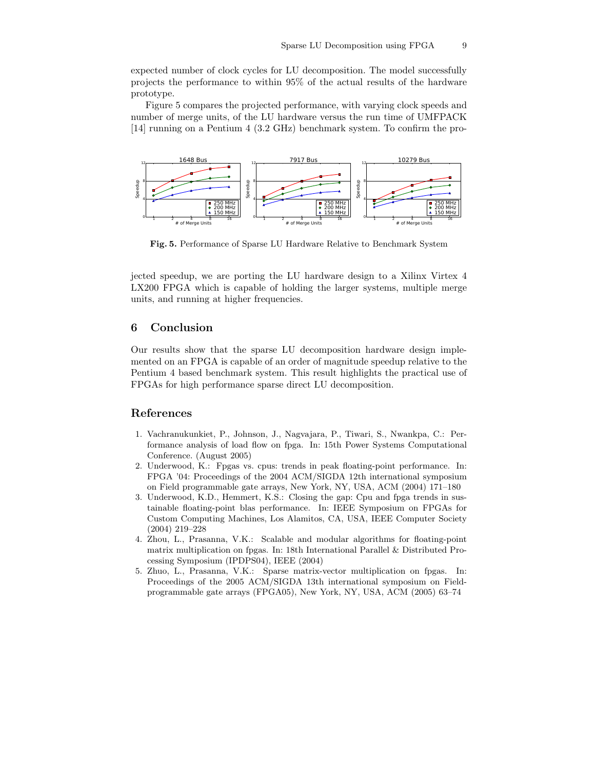expected number of clock cycles for LU decomposition. The model successfully projects the performance to within 95% of the actual results of the hardware prototype.

Figure 5 compares the projected performance, with varying clock speeds and number of merge units, of the LU hardware versus the run time of UMFPACK [14] running on a Pentium 4 (3.2 GHz) benchmark system. To confirm the pro-



Fig. 5. Performance of Sparse LU Hardware Relative to Benchmark System

jected speedup, we are porting the LU hardware design to a Xilinx Virtex 4 LX200 FPGA which is capable of holding the larger systems, multiple merge units, and running at higher frequencies.

#### 6 Conclusion

Our results show that the sparse LU decomposition hardware design implemented on an FPGA is capable of an order of magnitude speedup relative to the Pentium 4 based benchmark system. This result highlights the practical use of FPGAs for high performance sparse direct LU decomposition.

#### References

- 1. Vachranukunkiet, P., Johnson, J., Nagvajara, P., Tiwari, S., Nwankpa, C.: Performance analysis of load flow on fpga. In: 15th Power Systems Computational Conference. (August 2005)
- 2. Underwood, K.: Fpgas vs. cpus: trends in peak floating-point performance. In: FPGA '04: Proceedings of the 2004 ACM/SIGDA 12th international symposium on Field programmable gate arrays, New York, NY, USA, ACM (2004) 171–180
- 3. Underwood, K.D., Hemmert, K.S.: Closing the gap: Cpu and fpga trends in sustainable floating-point blas performance. In: IEEE Symposium on FPGAs for Custom Computing Machines, Los Alamitos, CA, USA, IEEE Computer Society (2004) 219–228
- 4. Zhou, L., Prasanna, V.K.: Scalable and modular algorithms for floating-point matrix multiplication on fpgas. In: 18th International Parallel & Distributed Processing Symposium (IPDPS04), IEEE (2004)
- 5. Zhuo, L., Prasanna, V.K.: Sparse matrix-vector multiplication on fpgas. In: Proceedings of the 2005 ACM/SIGDA 13th international symposium on Fieldprogrammable gate arrays (FPGA05), New York, NY, USA, ACM (2005) 63–74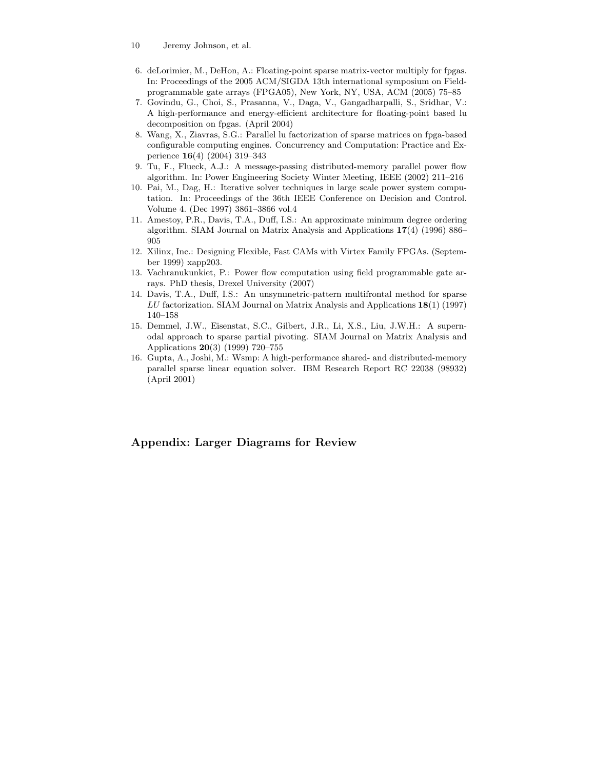- 10 Jeremy Johnson, et al.
- 6. deLorimier, M., DeHon, A.: Floating-point sparse matrix-vector multiply for fpgas. In: Proceedings of the 2005 ACM/SIGDA 13th international symposium on Fieldprogrammable gate arrays (FPGA05), New York, NY, USA, ACM (2005) 75–85
- 7. Govindu, G., Choi, S., Prasanna, V., Daga, V., Gangadharpalli, S., Sridhar, V.: A high-performance and energy-efficient architecture for floating-point based lu decomposition on fpgas. (April 2004)
- 8. Wang, X., Ziavras, S.G.: Parallel lu factorization of sparse matrices on fpga-based configurable computing engines. Concurrency and Computation: Practice and Experience 16(4) (2004) 319–343
- 9. Tu, F., Flueck, A.J.: A message-passing distributed-memory parallel power flow algorithm. In: Power Engineering Society Winter Meeting, IEEE (2002) 211–216
- 10. Pai, M., Dag, H.: Iterative solver techniques in large scale power system computation. In: Proceedings of the 36th IEEE Conference on Decision and Control. Volume 4. (Dec 1997) 3861–3866 vol.4
- 11. Amestoy, P.R., Davis, T.A., Duff, I.S.: An approximate minimum degree ordering algorithm. SIAM Journal on Matrix Analysis and Applications 17(4) (1996) 886– 905
- 12. Xilinx, Inc.: Designing Flexible, Fast CAMs with Virtex Family FPGAs. (September 1999) xapp203.
- 13. Vachranukunkiet, P.: Power flow computation using field programmable gate arrays. PhD thesis, Drexel University (2007)
- 14. Davis, T.A., Duff, I.S.: An unsymmetric-pattern multifrontal method for sparse LU factorization. SIAM Journal on Matrix Analysis and Applications 18(1) (1997) 140–158
- 15. Demmel, J.W., Eisenstat, S.C., Gilbert, J.R., Li, X.S., Liu, J.W.H.: A supernodal approach to sparse partial pivoting. SIAM Journal on Matrix Analysis and Applications 20(3) (1999) 720–755
- 16. Gupta, A., Joshi, M.: Wsmp: A high-performance shared- and distributed-memory parallel sparse linear equation solver. IBM Research Report RC 22038 (98932) (April 2001)

# Appendix: Larger Diagrams for Review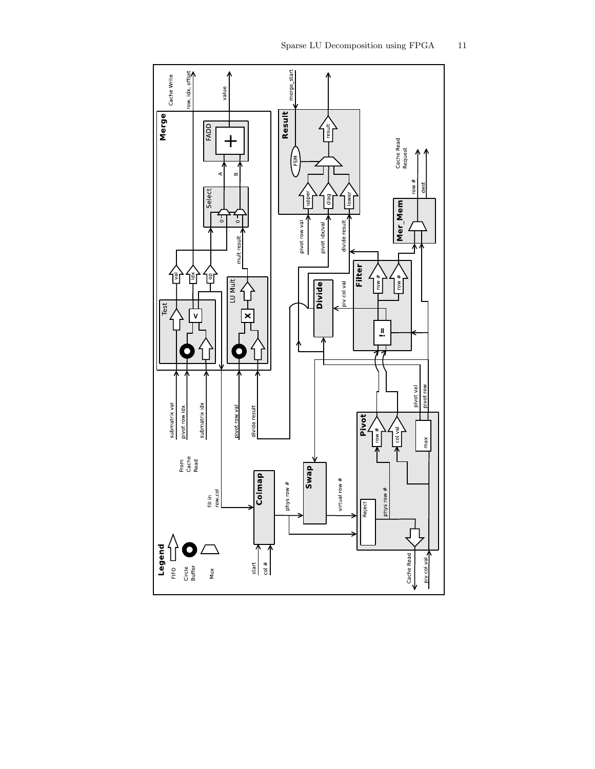